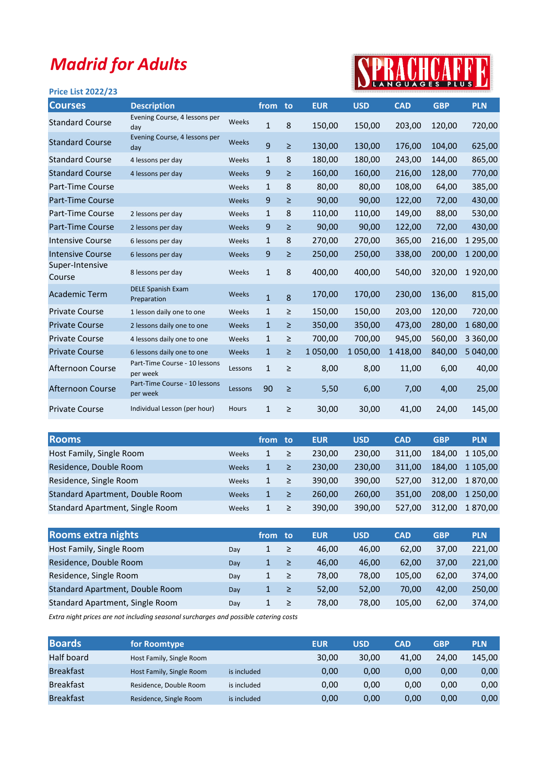## Madrid for Adults

## SPRACHCARRE

| <b>Price List 2022/23</b> |                                           |              |              |        |            |            | $\sim$ . A R G C A G L S $\sim$ F L G S $\sim$ |            |               |
|---------------------------|-------------------------------------------|--------------|--------------|--------|------------|------------|------------------------------------------------|------------|---------------|
| <b>Courses</b>            | <b>Description</b>                        |              | from         | to     | <b>EUR</b> | <b>USD</b> | <b>CAD</b>                                     | <b>GBP</b> | <b>PLN</b>    |
| <b>Standard Course</b>    | Evening Course, 4 lessons per<br>day      | Weeks        | $\mathbf{1}$ | 8      | 150,00     | 150,00     | 203,00                                         | 120,00     | 720,00        |
| <b>Standard Course</b>    | Evening Course, 4 lessons per<br>day      | Weeks        | 9            | $\geq$ | 130,00     | 130,00     | 176,00                                         | 104,00     | 625,00        |
| <b>Standard Course</b>    | 4 lessons per day                         | Weeks        | $\mathbf{1}$ | 8      | 180,00     | 180,00     | 243,00                                         | 144,00     | 865,00        |
| <b>Standard Course</b>    | 4 lessons per day                         | Weeks        | 9            | $\geq$ | 160,00     | 160,00     | 216,00                                         | 128,00     | 770,00        |
| Part-Time Course          |                                           | Weeks        | 1            | 8      | 80,00      | 80,00      | 108,00                                         | 64,00      | 385,00        |
| Part-Time Course          |                                           | Weeks        | 9            | $\geq$ | 90,00      | 90,00      | 122,00                                         | 72,00      | 430,00        |
| Part-Time Course          | 2 lessons per day                         | Weeks        | $\mathbf{1}$ | 8      | 110,00     | 110,00     | 149,00                                         | 88,00      | 530,00        |
| Part-Time Course          | 2 lessons per day                         | Weeks        | 9            | $\geq$ | 90,00      | 90,00      | 122,00                                         | 72,00      | 430,00        |
| <b>Intensive Course</b>   | 6 lessons per day                         | Weeks        | $\mathbf{1}$ | 8      | 270,00     | 270,00     | 365,00                                         | 216,00     | 1 295,00      |
| <b>Intensive Course</b>   | 6 lessons per day                         | Weeks        | 9            | $\geq$ | 250,00     | 250,00     | 338,00                                         | 200,00     | 1 200,00      |
| Super-Intensive<br>Course | 8 lessons per day                         | Weeks        | $\mathbf{1}$ | 8      | 400,00     | 400,00     | 540,00                                         | 320,00     | 1920,00       |
| <b>Academic Term</b>      | <b>DELE Spanish Exam</b><br>Preparation   | Weeks        | $\mathbf{1}$ | 8      | 170,00     | 170,00     | 230,00                                         | 136,00     | 815,00        |
| <b>Private Course</b>     | 1 lesson daily one to one                 | Weeks        | 1            | ≥      | 150,00     | 150,00     | 203,00                                         | 120,00     | 720,00        |
| <b>Private Course</b>     | 2 lessons daily one to one                | Weeks        | $\mathbf{1}$ | $\geq$ | 350,00     | 350,00     | 473,00                                         | 280,00     | 1680,00       |
| <b>Private Course</b>     | 4 lessons daily one to one                | Weeks        | 1            | $\geq$ | 700,00     | 700,00     | 945,00                                         | 560,00     | 3 3 6 0 , 0 0 |
| <b>Private Course</b>     | 6 lessons daily one to one                | Weeks        | $\mathbf{1}$ | $\geq$ | 1 050,00   | 1 050,00   | 1418,00                                        | 840,00     | 5 040,00      |
| Afternoon Course          | Part-Time Course - 10 lessons<br>per week | Lessons      | $\mathbf{1}$ | $\geq$ | 8,00       | 8,00       | 11,00                                          | 6,00       | 40,00         |
| Afternoon Course          | Part-Time Course - 10 lessons<br>per week | Lessons      | 90           | $\geq$ | 5,50       | 6,00       | 7,00                                           | 4,00       | 25,00         |
| <b>Private Course</b>     | Individual Lesson (per hour)              | <b>Hours</b> | $\mathbf{1}$ | $\geq$ | 30,00      | 30,00      | 41,00                                          | 24,00      | 145,00        |

| <b>Rooms</b>                    |       | from         | -to    | <b>EUR</b> | <b>USD</b> | <b>CAD</b> | <b>GBP</b> | <b>PLN</b>    |
|---------------------------------|-------|--------------|--------|------------|------------|------------|------------|---------------|
| Host Family, Single Room        | Weeks | 1            | ≥′     | 230.00     | 230,00     | 311.00     | 184.00     | 1 105.00      |
| Residence, Double Room          | Weeks | $\mathbf{1}$ | ≥      | 230.00     | 230,00     | 311.00     | 184.00     | 1 105,00      |
| Residence, Single Room          | Weeks | 1            | ≥      | 390.00     | 390.00     | 527.00     | 312.00     | 1870,00       |
| Standard Apartment, Double Room | Weeks | $\mathbf{1}$ | $\geq$ | 260.00     | 260,00     | 351.00     | 208.00     | 1 2 5 0 . 0 0 |
| Standard Apartment, Single Room | Weeks | 1            | ≥      | 390.00     | 390,00     | 527.00     | 312.00     | 1870,00       |

| <b>Rooms extra nights</b>       |     | from | to:    | <b>EUR</b> | <b>USD</b> | <b>CAD</b> | <b>GBP</b> | <b>PLN</b> |
|---------------------------------|-----|------|--------|------------|------------|------------|------------|------------|
| Host Family, Single Room        | Dav | 1    | $\geq$ | 46.00      | 46.00      | 62,00      | 37,00      | 221.00     |
| Residence, Double Room          | Dav | 1    | $\geq$ | 46.00      | 46.00      | 62.00      | 37.00      | 221.00     |
| Residence, Single Room          | Dav | 1    | $\geq$ | 78.00      | 78,00      | 105.00     | 62.00      | 374.00     |
| Standard Apartment, Double Room | Day | 1    | /≥/    | 52.00      | 52.00      | 70.00      | 42.00      | 250,00     |
| Standard Apartment, Single Room | Dav |      | ≥      | 78.00      | 78,00      | 105.00     | 62.00      | 374,00     |

Extra night prices are not including seasonal surcharges and possible catering costs

| <b>Boards</b>    | for Roomtype             |             | <b>EUR</b> | <b>USD</b> | CAD   | <b>GBP</b> | <b>PLN</b> |
|------------------|--------------------------|-------------|------------|------------|-------|------------|------------|
| Half board       | Host Family, Single Room |             | 30,00      | 30,00      | 41.00 | 24.00      | 145.00     |
| <b>Breakfast</b> | Host Family, Single Room | is included | 0,00       | 0,00       | 0.00  | 0.00       | 0,00       |
| <b>Breakfast</b> | Residence, Double Room   | is included | 0,00       | 0,00       | 0.00  | 0,00       | 0,00       |
| <b>Breakfast</b> | Residence, Single Room   | is included | 0,00       | 0,00       | 0,00  | 0,00       | 0,00       |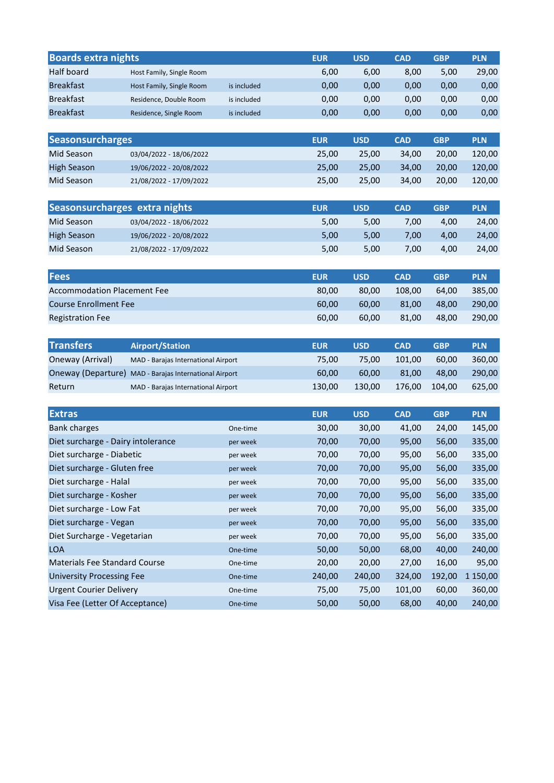| <b>Boards extra nights</b>         |                                     |             | <b>EUR</b> | <b>USD</b> | <b>CAD</b> | <b>GBP</b> | <b>PLN</b> |
|------------------------------------|-------------------------------------|-------------|------------|------------|------------|------------|------------|
| Half board                         | Host Family, Single Room            |             | 6,00       | 6,00       | 8,00       | 5,00       | 29,00      |
| <b>Breakfast</b>                   | Host Family, Single Room            | is included | 0,00       | 0,00       | 0,00       | 0,00       | 0,00       |
| <b>Breakfast</b>                   | Residence, Double Room              | is included | 0,00       | 0,00       | 0,00       | 0,00       | 0,00       |
| <b>Breakfast</b>                   | Residence, Single Room              | is included | 0,00       | 0,00       | 0,00       | 0,00       | 0,00       |
|                                    |                                     |             |            |            |            |            |            |
| <b>Seasonsurcharges</b>            |                                     |             | <b>EUR</b> | <b>USD</b> | <b>CAD</b> | <b>GBP</b> | <b>PLN</b> |
| Mid Season                         | 03/04/2022 - 18/06/2022             |             | 25,00      | 25,00      | 34,00      | 20,00      | 120,00     |
| <b>High Season</b>                 | 19/06/2022 - 20/08/2022             |             | 25,00      | 25,00      | 34,00      | 20,00      | 120,00     |
| Mid Season                         | 21/08/2022 - 17/09/2022             |             | 25,00      | 25,00      | 34,00      | 20,00      | 120,00     |
| Seasonsurcharges extra nights      |                                     |             | <b>EUR</b> | <b>USD</b> | <b>CAD</b> | <b>GBP</b> | <b>PLN</b> |
| Mid Season                         | 03/04/2022 - 18/06/2022             |             | 5,00       | 5,00       | 7,00       | 4,00       | 24,00      |
| <b>High Season</b>                 | 19/06/2022 - 20/08/2022             |             | 5,00       | 5,00       | 7,00       | 4,00       | 24,00      |
| Mid Season                         | 21/08/2022 - 17/09/2022             |             | 5,00       | 5,00       | 7,00       | 4,00       | 24,00      |
|                                    |                                     |             |            |            |            |            |            |
| <b>Fees</b>                        |                                     |             | <b>EUR</b> | <b>USD</b> | <b>CAD</b> | <b>GBP</b> | <b>PLN</b> |
| <b>Accommodation Placement Fee</b> |                                     |             | 80,00      | 80,00      | 108,00     | 64,00      | 385,00     |
| <b>Course Enrollment Fee</b>       |                                     |             | 60,00      | 60,00      | 81,00      | 48,00      | 290,00     |
| <b>Registration Fee</b>            |                                     |             | 60,00      | 60,00      | 81,00      | 48,00      | 290,00     |
|                                    |                                     |             |            |            |            |            |            |
| <b>Transfers</b>                   | <b>Airport/Station</b>              |             | <b>EUR</b> | <b>USD</b> | <b>CAD</b> | <b>GBP</b> | <b>PLN</b> |
| Oneway (Arrival)                   | MAD - Barajas International Airport |             | 75,00      | 75,00      | 101,00     | 60,00      | 360,00     |
| Oneway (Departure)                 | MAD - Barajas International Airport |             | 60,00      | 60,00      | 81,00      | 48,00      | 290,00     |
| Return                             | MAD - Barajas International Airport |             | 130,00     | 130,00     | 176,00     | 104,00     | 625,00     |
|                                    |                                     |             |            |            |            |            |            |
| <b>Extras</b>                      |                                     |             | <b>EUR</b> | <b>USD</b> | <b>CAD</b> | <b>GBP</b> | <b>PLN</b> |
| <b>Bank charges</b>                |                                     | One-time    | 30,00      | 30,00      | 41,00      | 24,00      | 145,00     |
| Diet surcharge - Dairy intolerance |                                     | per week    | 70,00      | 70,00      | 95,00      | 56,00      | 335,00     |
| Diet surcharge - Diabetic          |                                     | per week    | 70,00      | 70,00      | 95,00      | 56,00      | 335,00     |
| Diet surcharge - Gluten free       |                                     | per week    | 70,00      | 70,00      | 95,00      | 56,00      | 335,00     |
| Diet surcharge - Halal             |                                     | per week    | 70,00      | 70,00      | 95,00      | 56,00      | 335,00     |
| Diet surcharge - Kosher            |                                     | per week    | 70,00      | 70,00      | 95,00      | 56,00      | 335,00     |
| Diet surcharge - Low Fat           |                                     | per week    | 70,00      | 70,00      | 95,00      | 56,00      | 335,00     |
| Diet surcharge - Vegan             |                                     | per week    | 70,00      | 70,00      | 95,00      | 56,00      | 335,00     |
| Diet Surcharge - Vegetarian        |                                     | per week    | 70,00      | 70,00      | 95,00      | 56,00      | 335,00     |
| <b>LOA</b>                         |                                     | One-time    | 50,00      | 50,00      | 68,00      | 40,00      | 240,00     |
| Materials Fee Standard Course      |                                     | One-time    | 20,00      | 20,00      | 27,00      | 16,00      | 95,00      |
| <b>University Processing Fee</b>   |                                     | One-time    | 240,00     | 240,00     | 324,00     | 192,00     | 1 150,00   |
| <b>Urgent Courier Delivery</b>     |                                     | One-time    | 75,00      | 75,00      | 101,00     | 60,00      | 360,00     |
| Visa Fee (Letter Of Acceptance)    |                                     | One-time    | 50,00      | 50,00      | 68,00      | 40,00      | 240,00     |